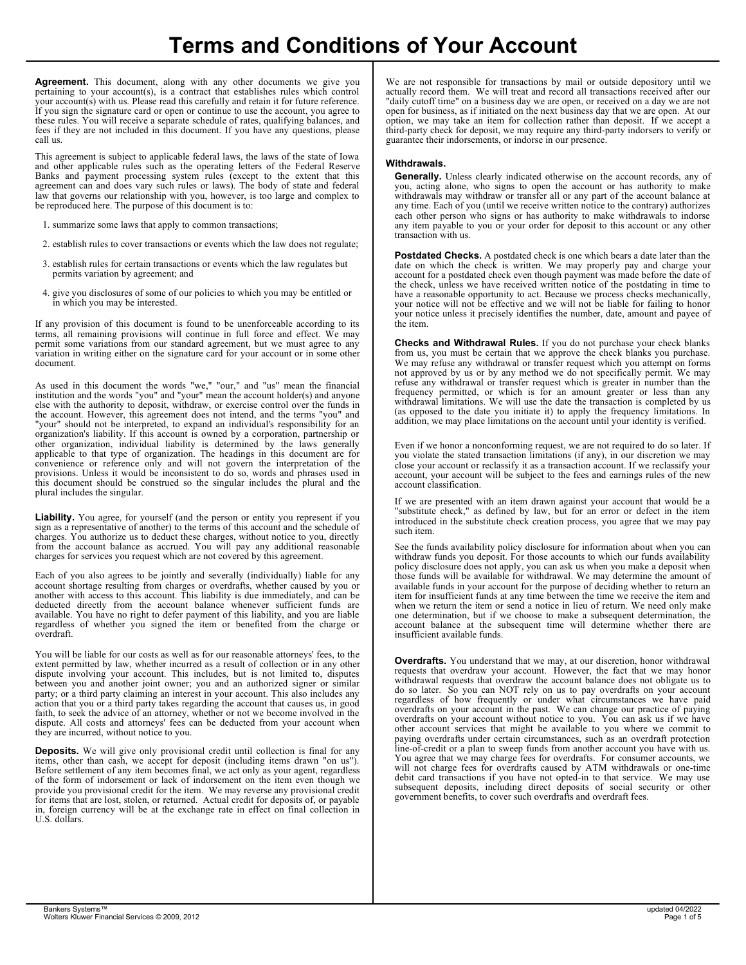Agreement. This document, along with any other documents we give you pertaining to your account(s), is a contract that establishes rules which control your account(s) with us. Please read this carefully and retain it for future reference.<br>If you sign the signature card or open or continue to use the account, you agree to open for business, as if initiated on the nex these rules. You will receive a separate schedule of rates, qualifying balances, and fees if they are not included in this document. If you have any questions, please call us.

This agreement is subject to applicable federal laws, the laws of the state of Iowa and other applicable rules such as the operating letters of the Federal Reserve Banks and payment processing system rules (except to the extent that this agreement can and does vary such rules or laws). The body of state and federal law that governs our relationship with you, however, is too large and complex to be reproduced here. The purpose of this document is to:

- 1. summarize some laws that apply to common transactions;
- 2. establish rules to cover transactions or events which the law does not regulate;
- 3. establish rules for certain transactions or events which the law regulates but date on which permits variation by agreement; and
- 4. give you disclosures of some of our policies to which you may be entitled or have a reasonable opr in which you may be interested.

If any provision of this document is found to be unenforceable according to its terms, all remaining provisions will continue in full force and effect. We may permit some variations from our standard agreement, but we must agree to any **Checks and Withdrawal Rules.** If y variation in writing either on the signature card for your account or in some other from us, you must be c document.

As used in this document the words "we," "our," and "us" mean the financial institution and the words "you" and "your" mean the account holder(s) and anyone else with the authority to deposit, withdraw, or exercise control over the funds in the account. However, this agreement does not intend, and the terms "you" and "your" should not be interpreted, to expand an individual's responsibility for an organization's liability. If this account is owned by a corporation, partnership or other organization, individual liability is determined by the laws generally<br>applicable to that type of organization. The headings in this document are for vou violate the stated transaction limitation convenience or reference only and will not govern the interpretation of the provisions. Unless it would be inconsistent to do so, words and phrases used in this document should be construed so the singular includes the plural and the plural includes the singular.

Liability. You agree, for yourself (and the person or entity you represent if you sign as a representative of another) to the terms of this account and the schedule of charges. You authorize us to deduct these charges, without notice to you, directly from the account balance as accrued. You will pay any additional reasonable see the funds availability policy di charges for services you request which are not covered by this agreement.

Each of you also agrees to be jointly and severally (individually) liable for any account shortage resulting from charges or overdrafts, whether caused by you or another with access to this account. This liability is due immediately, and can be<br>deducted directly from the account balance whenever sufficient funds are whenever exerging the when we return the item or send a available. You have no right to defer payment of this liability, and you are liable regardless of whether you signed the item or benefited from the charge or overdraft.

You will be liable for our costs as well as for our reasonable attorneys' fees, to the extent permitted by law, whether incurred as a result of collection or in any other dispute involving your account. This includes, but is not limited to, disputes between you and another joint owner; you and an authorized signer or similar party; or a third party claiming an interest in your account. This also includes any action that you or a third party takes regarding the account that causes us, in good faith, to seek the advice of an attorney, whether or not we become involved in the dispute. All costs and attorneys' fees can be deducted from your account when they are incurred, without notice to you.

Deposits. We will give only provisional credit until collection is final for any items, other than cash, we accept for deposit (including items drawn "on us"). Before settlement of any item becomes final, we act only as your agent, regardless of the form of indorsement or lack of indorsement on the item even though we provide you provisional credit for the item. We may reverse any provisional credit for items that are lost, stolen, or returned. Actual credit for deposits of, or payable in, foreign currency will be at the exchange rate in effect on final collection in U.S. dollars.

We are not responsible for transactions by mail or outside depository until we actually record them. We will treat and record all transactions received after our "daily cutoff time" on a business day we are open, or received on a day we are not open for business, as if initiated on the next business day that we are open. At our option, we may take an item for collection rather than deposit. If we accept a third-party check for deposit, we may require any third-party indorsers to verify or guarantee their indorsements, or indorse in our presence.

## Withdrawals.

Generally. Unless clearly indicated otherwise on the account records, any of you, acting alone, who signs to open the account or has authority to make withdrawals may withdraw or transfer all or any part of the account balance at any time. Each of you (until we receive written notice to the contrary) authorizes each other person who signs or has authority to make withdrawals to indorse any item payable to you or your order for deposit to this account or any other transaction with us.

Postdated Checks. A postdated check is one which bears a date later than the date on which the check is written. We may properly pay and charge your account for a postdated check even though payment was made before the date of the check, unless we have received written notice of the postdating in time to have a reasonable opportunity to act. Because we process checks mechanically, your notice will not be effective and we will not be liable for failing to honor your notice unless it precisely identifies the number, date, amount and payee of the item.

Checks and Withdrawal Rules. If you do not purchase your check blanks from us, you must be certain that we approve the check blanks you purchase. We may refuse any withdrawal or transfer request which you attempt on forms not approved by us or by any method we do not specifically permit. We may refuse any withdrawal or transfer request which is greater in number than the frequency permitted, or which is for an amount greater or less than any withdrawal limitations. We will use the date the transaction is completed by us (as opposed to the date you initiate it) to apply the frequency limitations. In addition, we may place limitations on the account until your identity is verified.

Even if we honor a nonconforming request, we are not required to do so later. If you violate the stated transaction limitations (if any), in our discretion we may close your account or reclassify it as a transaction account. If we reclassify your account, your account will be subject to the fees and earnings rules of the new account classification.

If we are presented with an item drawn against your account that would be a "substitute check," as defined by law, but for an error or defect in the item introduced in the substitute check creation process, you agree that we may pay such item.

See the funds availability policy disclosure for information about when you can withdraw funds you deposit. For those accounts to which our funds availability policy disclosure does not apply, you can ask us when you make a deposit when those funds will be available for withdrawal. We may determine the amount of available funds in your account for the purpose of deciding whether to return an item for insufficient funds at any time between the time we receive the item and when we return the item or send a notice in lieu of return. We need only make one determination, but if we choose to make a subsequent determination, the account balance at the subsequent time will determine whether there are insufficient available funds.

**Overdrafts.** You understand that we may, at our discretion, honor withdrawal requests that overdraw your account. However, the fact that we may honor withdrawal requests that overdraw the account balance does not obligate us to do so later. So you can NOT rely on us to pay overdrafts on your account regardless of how frequently or under what circumstances we have paid overdrafts on your account in the past. We can change our practice of paying overdrafts on your account without notice to you. You can ask us if we have other account services that might be available to you where we commit to paying overdrafts under certain circumstances, such as an overdraft protection line-of-credit or a plan to sweep funds from another account you have with us. You agree that we may charge fees for overdrafts. For consumer accounts, we will not charge fees for overdrafts caused by ATM withdrawals or one-time debit card transactions if you have not opted-in to that service. We may use subsequent deposits, including direct deposits of social security or other government benefits, to cover such overdrafts and overdraft fees.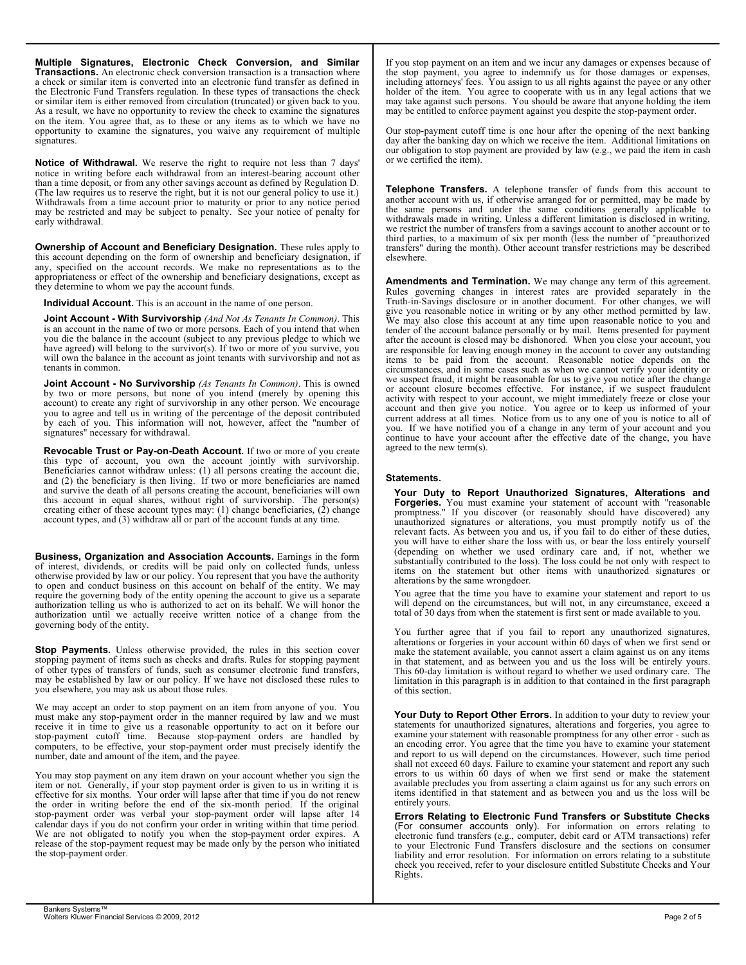Multiple Signatures, Electronic Check Conversion, and Similar Transactions. An electronic check conversion transaction is a transaction where a check or similar item is converted into an electronic fund transfer as defined in the Electronic Fund Transfers regulation. In these types of transactions the check or similar item is either removed from circulation (truncated) or given back to you. As a result, we have no opportunity to review the check to examine the signatures on the item. You agree that, as to these or any items as to which we have no opportunity to examine the signatures, you waive any requirement of multiple signatures.

Notice of Withdrawal. We reserve the right to require not less than 7 days' notice in writing before each withdrawal from an interest-bearing account other than a time deposit, or from any other savings account as defined by Regulation D. (The law requires us to reserve the right, but it is not our general policy to use it.) Withdrawals from a time account prior to maturity or prior to any notice period may be restricted and may be subject to penalty. See your notice of penalty for early withdrawal.

Ownership of Account and Beneficiary Designation. These rules apply to this account depending on the form of ownership and beneficiary designation, if any, specified on the account records. We make no representations as to the appropriateness or effect of the ownership and beneficiary designations, except as **Appropriately and Terminational Termination** they determine to whom we pay the account funds.

Individual Account. This is an account in the name of one person.

Joint Account - With Survivorship (And Not As Tenants In Common). This is an account in the name of two or more persons. Each of you intend that when tender of the account balance personally or you die the balance in the account (subject to any previous pledge to which we find after the account is closed may be dis have agreed) will belong to the survivor(s). If two or more of you survive, you are responsible for leaving enough money will own the balance in the account as joint tenants with survivorship and not as items to be paid from the tenants in common.

**Joint Account - No Survivorship** (As Tenants In Common). This is owned we suspect the experiment of the state of the state of the state of the state of the state of the state of the state of the state of the state of the by two or more persons, but none of you intend (merely by opening this account) to create any right of survivorship in any other person. We encourage you to agree and tell us in writing of the percentage of the deposit contributed by each of you. This information will not, however, affect the "number of signatures" necessary for withdrawal.

Revocable Trust or Pay-on-Death Account. If two or more of you create this type of account, you own the account jointly with survivorship. Beneficiaries cannot withdraw unless: (1) all persons creating the account die, and (2) the beneficiary is then living. If two or more beneficiaries are named **Statements.** and survive the death of all persons creating the account, beneficiaries will own this account in equal shares, without right of survivorship. The person(s) **Formeries**. You must creating either of these account types may: (1) change beneficiaries, (2) change romportness." If you discover (or account types, and (3) withdraw all or part of the account funds at any time.

Business, Organization and Association Accounts. Earnings in the form of interest, dividends, or credits will be paid only on collected funds, unless otherwise provided by law or our policy. You represent that you have the authority<br>to open and conduct business on this account on behalf of the entity. We may require the governing body of the entity opening the account to give us a separate authorization telling us who is authorized to act on its behalf. We will honor the will depend on the circumstances,<br>authorization until we actually receive written notice of a change from the total of 30 days from when th governing body of the entity.

Stop Payments. Unless otherwise provided, the rules in this section cover stopping payment of items such as checks and drafts. Rules for stopping payment of other types of transfers of funds, such as consumer electronic fund transfers,<br>
may be established by law or our policy. If we have not disclosed these rules to limitation in this paragraph is in addition you elsewhere, you may ask us about those rules.

We may accept an order to stop payment on an item from anyone of you. You must make any stop-payment order in the manner required by law and we must receive it in time to give us a reasonable opportunity to act on it before our statements for unauthorized signatures, stop-payment cutoff time. Because stop-payment orders are handled by examine your statement with reason computers, to be effective, your stop-payment order must precisely identify the number, date and amount of the item, and the payee.

You may stop payment on any item drawn on your account whether you sign the item or not. Generally, if your stop payment order is given to us in writing it is effective for six months. Your order will lapse after that time if you do not renew terms identified in that statement and as between you and us the order in writing before the end of the six-month period. If the original stop-payment order was verbal your stop-payment order will lapse after 14 **Ferour Relating to Electronic Fund** calendar days if you do not confirm your order in writing within that time period. We are not obligated to notify you when the stop-payment order expires. A clear original transfers (e.g., computer, debit card or ATM t release of the stop-payment request may be made only by the person who initiated<br>the stop-payment order.<br>liability and error resolution. For inform

If you stop payment on an item and we incur any damages or expenses because of the stop payment, you agree to indemnify us for those damages or expenses, including attorneys' fees. You assign to us all rights against the payee or any other holder of the item. You agree to cooperate with us in any legal actions that we may take against such persons. You should be aware that anyone holding the item may be entitled to enforce payment against you despite the stop-payment order.

Our stop-payment cutoff time is one hour after the opening of the next banking day after the banking day on which we receive the item. Additional limitations on our obligation to stop payment are provided by law (e.g., we paid the item in cash or we certified the item).

Telephone Transfers. A telephone transfer of funds from this account to another account with us, if otherwise arranged for or permitted, may be made by the same persons and under the same conditions generally applicable to withdrawals made in writing. Unless a different limitation is disclosed in writing, we restrict the number of transfers from a savings account to another account or to third parties, to a maximum of six per month (less the number of "preauthorized transfers" during the month). Other account transfer restrictions may be described elsewhere.

Amendments and Termination. We may change any term of this agreement. Rules governing changes in interest rates are provided separately in the Truth-in-Savings disclosure or in another document. For other changes, we will give you reasonable notice in writing or by any other method permitted by law. We may also close this account at any time upon reasonable notice to you and tender of the account balance personally or by mail. Items presented for payment after the account is closed may be dishonored. When you close your account, you are responsible for leaving enough money in the account to cover any outstanding items to be paid from the account. Reasonable notice depends on the circumstances, and in some cases such as when we cannot verify your identity or we suspect fraud, it might be reasonable for us to give you notice after the change or account closure becomes effective. For instance, if we suspect fraudulent activity with respect to your account, we might immediately freeze or close your account and then give you notice. You agree or to keep us informed of your current address at all times. Notice from us to any one of you is notice to all of you. If we have notified you of a change in any term of your account and you continue to have your account after the effective date of the change, you have agreed to the new term(s).

## Statements.

Your Duty to Report Unauthorized Signatures, Alterations and **Forgeries.** You must examine your statement of account with "reasonable promptness." If you discover (or reasonably should have discovered) any unauthorized signatures or alterations, you must promptly notify us of the relevant facts. As between you and us, if you fail to do either of these duties, you will have to either share the loss with us, or bear the loss entirely yourself (depending on whether we used ordinary care and, if not, whether we substantially contributed to the loss). The loss could be not only with respect to items on the statement but other items with unauthorized signatures or alterations by the same wrongdoer.

You agree that the time you have to examine your statement and report to us will depend on the circumstances, but will not, in any circumstance, exceed a total of 30 days from when the statement is first sent or made available to you.

You further agree that if you fail to report any unauthorized signatures, alterations or forgeries in your account within 60 days of when we first send or make the statement available, you cannot assert a claim against us on any items in that statement, and as between you and us the loss will be entirely yours. This 60-day limitation is without regard to whether we used ordinary care. The limitation in this paragraph is in addition to that contained in the first paragraph of this section.

Now the same of the same of the same of the same of the same of the same of the same of the same of the same of 2008, and the same of the same of the same of the same of the same of the same of the same of the same of the Your Duty to Report Other Errors. In addition to your duty to review your statements for unauthorized signatures, alterations and forgeries, you agree to examine your statement with reasonable promptness for any other error - such as an encoding error. You agree that the time you have to examine your statement and report to us will depend on the circumstances. However, such time period shall not exceed 60 days. Failure to examine your statement and report any such errors to us within 60 days of when we first send or make the statement available precludes you from asserting a claim against us for any such errors on items identified in that statement and as between you and us the loss will be entirely yours.

Errors Relating to Electronic Fund Transfers or Substitute Checks (For consumer accounts only). For information on errors relating to electronic fund transfers (e.g., computer, debit card or ATM transactions) refer to your Electronic Fund Transfers disclosure and the sections on consumer liability and error resolution. For information on errors relating to a substitute check you received, refer to your disclosure entitled Substitute Checks and Your Rights.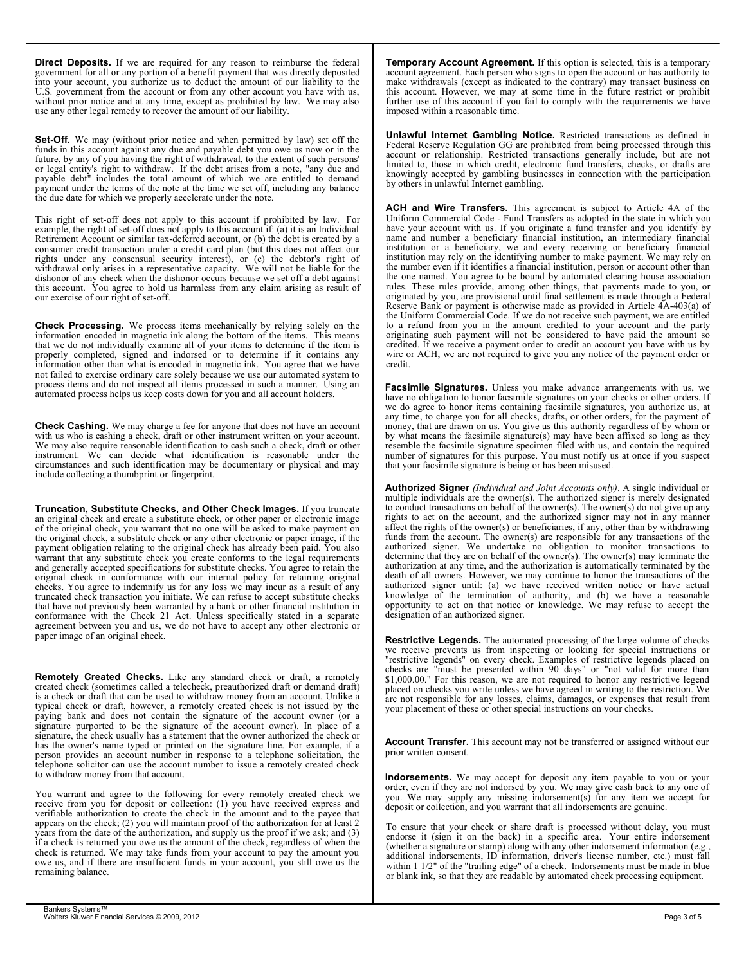Direct Deposits. If we are required for any reason to reimburse the federal government for all or any portion of a benefit payment that was directly deposited into your account, you authorize us to deduct the amount of our liability to the U.S. government from the account or from any other account you have with us, without prior notice and at any time, except as prohibited by law. We may also further use of this account if you fail to use any other legal remedy to recover the amount of our liability.

Set-Off. We may (without prior notice and when permitted by law) set off the funds in this account against any due and payable debt you owe us now or in the future, by any of you having the right of withdrawal, to the extent of such persons' or legal entity's right to withdraw. If the debt arises from a note, "any due and<br>payable debt" includes the total amount of which we are entitled to demand payment under the terms of the note at the time we set off, including any balance<br>the due date for which we properly accelerate under the note.

This right of set-off does not apply to this account if prohibited by law. For Uniform Commercial Cod example, the right of set-off does not apply to this account if: (a) it is an Individual have your account with us. If you c<br>Retirement Account or similar tax-deferred account, or (b) the debt is created by a name and numb consumer credit transaction under a credit card plan (but this does not affect our structure or a beneficial rights under any consensual security interest), or (c) the debtor's right of institution may rely on the identifyin<br>withdrawal only arises in a representative capacity. We will not be liable for the the number even if it i dishonor of any check when the dishonor occurs because we set off a debt against<br>this account. You agree to hold us harmless from any claim arising as result of the set rules. These rules provide our exercise of our right of set-off.

Check Processing. We process items mechanically by relying solely on the information encoded in magnetic ink along the bottom of the items. This means consider a payment will that we do not individually examine all of your items to determine if the item is credited. If we receive a payme properly completed, signed and indorsed or to determine if it contains any wire or ACH, we are not required to give information other than what is encoded in magnetic ink. You agree that we have eredit. not failed to exercise ordinary care solely because we use our automated system to process items and do not inspect all items processed in such a manner. Using an automated process helps us keep costs down for you and all account holders.

**Check Cashing.** We may charge a fee for anyone that does not have an account money, that are draw with us who is cashing a check, draft or other instrument written on your account. We may also require reasonable identification to cash such a check, draft or other<br>
instrument. We can decide what identification is reasonable under the number of signatures for this purpose circumstances and such identification may be documentary or physical and may include collecting a thumbprint or fingerprint.

**Truncation, Substitute Checks, and Other Check Images.** If you truncate state of the conduct transactions on behalf of the an original check and create a substitute check, or other paper or electronic image is rights to act on the account, and the of the original check, you warrant that no one will be asked to make payment on the original check, a substitute check or any other electronic or paper image, if the last the secount. The owner(s) are payment obligation relating to the original check has already been paid. You also authorized signer. warrant that any substitute check you create conforms to the legal requirements determine that they are on behal and generally accepted specifications for substitute checks. You agree to retain the original check in conformance with our internal policy for retaining original checks. You agree to indemnify us for any loss we may incur as a result of any authorized signer until: (a) we have re<br>truncated check transaction you initiate. We can refuse to accept substitute checks knowledge of the te that have not previously been warranted by a bank or other financial institution in conformance with the Check 21 Act. Unless specifically stated in a separate agreement between you and us, we do not have to accept any other electronic or paper image of an original check.

Note that the countries of the services of the service of the service of the service of the service of the service of the service of the service of the service of the service of the service of the service of the service of **Remotely Created Checks.** Like any standard check or draft, a remotely  $\begin{bmatrix} 1.000.00 \end{bmatrix}$ . For this reason, we are not re created check (sometimes called a telecheck, preauthorized draft or demand draft) is a check or draft that can be used to withdraw money from an account. Unlike a typical check or draft, however, a remotely created check is not issued by the paying bank and does not contain the signature of the account owner (or a signature purported to be the signature of the account owner). In place of a signature, the check usually has a statement that the owner authorized the check or has the owner's name typed or printed on the signature line. For example, if a person provides an account number in response to a telephone solicitation, the telephone solicitor can use the account number to issue a remotely created check to withdraw money from that account.

You warrant and agree to the following for every remotely created check we receive from you for deposit or collection: (1) you have received express and verifiable authorization to create the check in the amount and to the payee that appears on the check; (2) you will maintain proof of the authorization for at least 2 years from the date of the authorization, and supply us the proof if we ask; and (3) if a check is returned you owe us the amount of the check, regardless of when the check is returned. We may take funds from your account to pay the amount you owe us, and if there are insufficient funds in your account, you still owe us the remaining balance.

Temporary Account Agreement. If this option is selected, this is a temporary account agreement. Each person who signs to open the account or has authority to make withdrawals (except as indicated to the contrary) may transact business on this account. However, we may at some time in the future restrict or prohibit further use of this account if you fail to comply with the requirements we have imposed within a reasonable time.

Unlawful Internet Gambling Notice. Restricted transactions as defined in Federal Reserve Regulation GG are prohibited from being processed through this account or relationship. Restricted transactions generally include, but are not limited to, those in which credit, electronic fund transfers, checks, or drafts are knowingly accepted by gambling businesses in connection with the participation by others in unlawful Internet gambling.

ACH and Wire Transfers. This agreement is subject to Article 4A of the Uniform Commercial Code - Fund Transfers as adopted in the state in which you have your account with us. If you originate a fund transfer and you identify by name and number a beneficiary financial institution, an intermediary financial institution or a beneficiary, we and every receiving or beneficiary financial institution may rely on the identifying number to make payment. We may rely on the number even if it identifies a financial institution, person or account other than the one named. You agree to be bound by automated clearing house association rules. These rules provide, among other things, that payments made to you, or originated by you, are provisional until final settlement is made through a Federal Reserve Bank or payment is otherwise made as provided in Article 4A-403(a) of the Uniform Commercial Code. If we do not receive such payment, we are entitled to a refund from you in the amount credited to your account and the party originating such payment will not be considered to have paid the amount so credited. If we receive a payment order to credit an account you have with us by wire or ACH, we are not required to give you any notice of the payment order or credit.

**Facsimile Signatures.** Unless you make advance arrangements with us, we have no obligation to honor facsimile signatures on your checks or other orders. If we do agree to honor items containing facsimile signatures, you authorize us, at any time, to charge you for all checks, drafts, or other orders, for the payment of money, that are drawn on us. You give us this authority regardless of by whom or by what means the facsimile signature(s) may have been affixed so long as they resemble the facsimile signature specimen filed with us, and contain the required number of signatures for this purpose. You must notify us at once if you suspect that your facsimile signature is being or has been misused.

Authorized Signer (Individual and Joint Accounts only). A single individual or multiple individuals are the owner(s). The authorized signer is merely designated to conduct transactions on behalf of the owner(s). The owner(s) do not give up any rights to act on the account, and the authorized signer may not in any manner affect the rights of the owner(s) or beneficiaries, if any, other than by withdrawing funds from the account. The owner(s) are responsible for any transactions of the authorized signer. We undertake no obligation to monitor transactions to determine that they are on behalf of the owner(s). The owner(s) may terminate the authorization at any time, and the authorization is automatically terminated by the death of all owners. However, we may continue to honor the transactions of the authorized signer until: (a) we have received written notice or have actual knowledge of the termination of authority, and (b) we have a reasonable opportunity to act on that notice or knowledge. We may refuse to accept the designation of an authorized signer.

Restrictive Legends. The automated processing of the large volume of checks we receive prevents us from inspecting or looking for special instructions or "restrictive legends" on every check. Examples of restrictive legends placed on checks are "must be presented within 90 days" or "not valid for more than \$1,000.00." For this reason, we are not required to honor any restrictive legend placed on checks you write unless we have agreed in writing to the restriction. We are not responsible for any losses, claims, damages, or expenses that result from your placement of these or other special instructions on your checks.

Account Transfer. This account may not be transferred or assigned without our prior written consent.

Indorsements. We may accept for deposit any item payable to you or your order, even if they are not indorsed by you. We may give cash back to any one of you. We may supply any missing indorsement(s) for any item we accept for deposit or collection, and you warrant that all indorsements are genuine.

To ensure that your check or share draft is processed without delay, you must endorse it (sign it on the back) in a specific area. Your entire indorsement (whether a signature or stamp) along with any other indorsement information (e.g., additional indorsements, ID information, driver's license number, etc.) must fall within 1 1/2" of the "trailing edge" of a check. Indorsements must be made in blue or blank ink, so that they are readable by automated check processing equipment.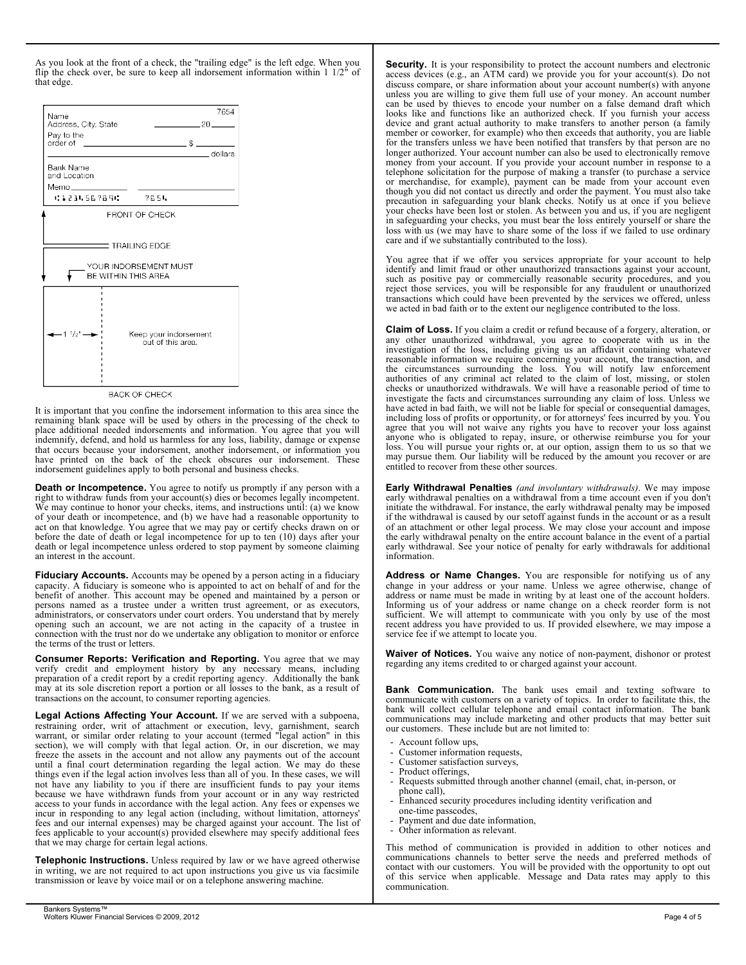As you look at the front of a check, the "trailing edge" is the left edge. When you flip the check over, be sure to keep all indorsement information within 1 1/2" of that edge.



**BACK OF CHECK** 

It is important that you confine the indorsement information to this area since the remaining blank space will be used by others in the processing of the check to **remaining** loss of profits or opportunity, or place additional needed indorsements and information. You agree that you will agree that you will indemnify, defend, and hold us harmless for any loss, liability, damage or expense that occurs because your indorsement, another indorsement, or information you have printed on the back of the check obscures our indorsement. These indorsement guidelines apply to both personal and business checks.

Death or Incompetence. You agree to notify us promptly if any person with a right to withdraw funds from your account(s) dies or becomes legally incompetent. We may continue to honor your checks, items, and instructions until: (a) we know of your death or incompetence, and (b) we have had a reasonable opportunity to act on that knowledge. You agree that we may pay or certify checks drawn on or before the date of death or legal incompetence for up to ten (10) days after your death or legal incompetence unless ordered to stop payment by someone claiming an interest in the account.

Fiduciary Accounts. Accounts may be opened by a person acting in a fiduciary capacity. A fiduciary is someone who is appointed to act on behalf of and for the benefit of another. This account may be opened and maintained by a person or persons named as a trustee under a written trust agreement, or as executors, administrators, or conservators under court orders. You understand that by merely opening such an account, we are not acting in the capacity of a trustee in connection with the trust nor do we undertake any obligation to monitor or enforce the terms of the trust or letters.

Consumer Reports: Verification and Reporting. You agree that we may verify credit and employment history by any necessary means, including preparation of a credit report by a credit reporting agency. Additionally the bank may at its sole discretion report a portion or all losses to the bank, as a result of transactions on the account, to consumer reporting agencies.

most a material as it paper under the system of the control of the system of the system of the system and the system of the system and the system of the system and the system of the system and the system of the system and Legal Actions Affecting Your Account. If we are served with a subpoena, restraining order, writ of attachment or execution, levy, garnishment, search warrant, or similar order relating to your account (termed "legal action" in this section), we will comply with that legal action. Or, in our discretion, we may freeze the assets in the account and not allow any payments out of the account until a final court determination regarding the legal action. We may do these things even if the legal action involves less than all of you. In these cases, we will not have any liability to you if there are insufficient funds to pay your items because we have withdrawn funds from your account or in any way restricted access to your funds in accordance with the legal action. Any fees or expenses we incur in responding to any legal action (including, without limitation, attorneys' fees and our internal expenses) may be charged against your account. The list of fees applicable to your account(s) provided elsewhere may specify additional fees that we may charge for certain legal actions.

Telephonic Instructions. Unless required by law or we have agreed otherwise in writing, we are not required to act upon instructions you give us via facsimile transmission or leave by voice mail or on a telephone answering machine.

**Security.** It is your responsibility to protect the account numbers and electronic access devices (e.g., an ATM card) we provide you for your account(s). Do not discuss compare, or share information about your account number(s) with anyone unless you are willing to give them full use of your money. An account number can be used by thieves to encode your number on a false demand draft which looks like and functions like an authorized check. If you furnish your access device and grant actual authority to make transfers to another person (a family member or coworker, for example) who then exceeds that authority, you are liable for the transfers unless we have been notified that transfers by that person are no longer authorized. Your account number can also be used to electronically remove money from your account. If you provide your account number in response to a telephone solicitation for the purpose of making a transfer (to purchase a service or merchandise, for example), payment can be made from your account even though you did not contact us directly and order the payment. You must also take precaution in safeguarding your blank checks. Notify us at once if you believe your checks have been lost or stolen. As between you and us, if you are negligent in safeguarding your checks, you must bear the loss entirely yourself or share the loss with us (we may have to share some of the loss if we failed to use ordinary care and if we substantially contributed to the loss).

You agree that if we offer you services appropriate for your account to help identify and limit fraud or other unauthorized transactions against your account, such as positive pay or commercially reasonable security procedures, and you reject those services, you will be responsible for any fraudulent or unauthorized transactions which could have been prevented by the services we offered, unless we acted in bad faith or to the extent our negligence contributed to the loss.

Claim of Loss. If you claim a credit or refund because of a forgery, alteration, or any other unauthorized withdrawal, you agree to cooperate with us in the investigation of the loss, including giving us an affidavit containing whatever reasonable information we require concerning your account, the transaction, and the circumstances surrounding the loss. You will notify law enforcement authorities of any criminal act related to the claim of lost, missing, or stolen checks or unauthorized withdrawals. We will have a reasonable period of time to investigate the facts and circumstances surrounding any claim of loss. Unless we have acted in bad faith, we will not be liable for special or consequential damages, including loss of profits or opportunity, or for attorneys' fees incurred by you. You agree that you will not waive any rights you have to recover your loss against anyone who is obligated to repay, insure, or otherwise reimburse you for your loss. You will pursue your rights or, at our option, assign them to us so that we may pursue them. Our liability will be reduced by the amount you recover or are entitled to recover from these other sources.

Early Withdrawal Penalties (and involuntary withdrawals). We may impose early withdrawal penalties on a withdrawal from a time account even if you don't initiate the withdrawal. For instance, the early withdrawal penalty may be imposed if the withdrawal is caused by our setoff against funds in the account or as a result of an attachment or other legal process. We may close your account and impose the early withdrawal penalty on the entire account balance in the event of a partial early withdrawal. See your notice of penalty for early withdrawals for additional information.

Address or Name Changes. You are responsible for notifying us of any change in your address or your name. Unless we agree otherwise, change of address or name must be made in writing by at least one of the account holders. Informing us of your address or name change on a check reorder form is not sufficient. We will attempt to communicate with you only by use of the most recent address you have provided to us. If provided elsewhere, we may impose a service fee if we attempt to locate you.

Waiver of Notices. You waive any notice of non-payment, dishonor or protest regarding any items credited to or charged against your account.

Bank Communication. The bank uses email and texting software to communicate with customers on a variety of topics. In order to facilitate this, the bank will collect cellular telephone and email contact information. The bank communications may include marketing and other products that may better suit our customers. These include but are not limited to:

- Account follow ups,
- Customer information requests,
- Customer satisfaction surveys,
- Product offerings,

communication.

- Requests submitted through another channel (email, chat, in-person, or phone call), - - - - - - - -
- Enhanced security procedures including identity verification and
- one-time passcodes, Payment and due date information,
- Other information as relevant.
- This method of communication is provided in addition to other notices and communications channels to better serve the needs and preferred methods of contact with our customers. You will be provided with the opportunity to opt out of this service when applicable. Message and Data rates may apply to this